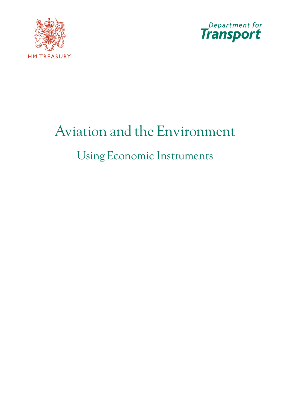



# Aviation and the Environment Using Economic Instruments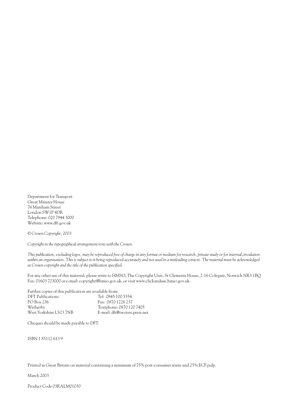Department for Transport Great Minster House 76 Marsham Street London SW1P 4DR Telephone: 020 7944 3000 Website: www.dft.gov.uk

*© Crown Copyright, 2003*

*Copyright in the typographical arrangement rests with the Crown.*

*This publication, excluding logos, may be reproduced free of charge in any format or medium for research, private study or for internal circulation within an organisation. This is subject to it being reproduced accurately and not used in a misleading context. The material must be acknowledged as Crown copyright and the title of the publication specified.*

For any other use of this material, please write to HMSO, The Copyright Unit, St Clements House, 2-16 Colegate, Norwich NR3 1BQ Fax: 01603 723000 or e-mail: copyright@hmso.gov.uk, or visit www.clickanduse.hmso.gov.uk.

| Further copies of this publication are available from: |                              |
|--------------------------------------------------------|------------------------------|
| <b>DFT</b> Publications                                | Tel: 0845 100 5554           |
| PO Box 236                                             | Fax: 0870 1226 237           |
| Wetherby                                               | Textphone: 0870 120 7405     |
| West Yorkshire LS23 7NB                                | E-mail: dft@twoten.press.net |

Cheques should be made payable to DFT.

ISBN 1 85112 613 9

Printed in Great Britain on material containing a minimum of 75% post-consumer waste and 25% ECF pulp.

March 2003

Product Code 03RALM01030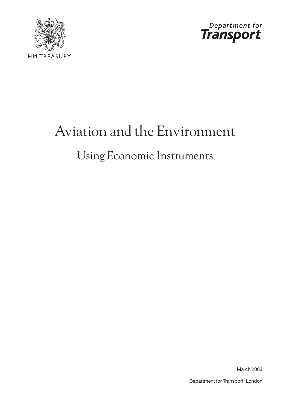



# Aviation and the Environment Using Economic Instruments

March 2003

Department for Transport: London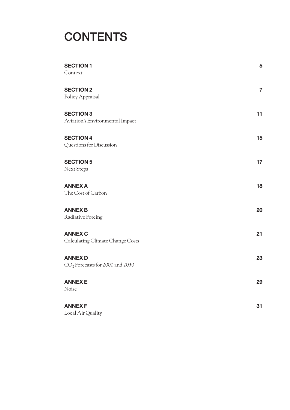## **CONTENTS**

| <b>SECTION 1</b><br>Context                         | 5              |
|-----------------------------------------------------|----------------|
| <b>SECTION 2</b><br>Policy Appraisal                | $\overline{7}$ |
| <b>SECTION 3</b><br>Aviation's Environmental Impact | 11             |
| <b>SECTION 4</b><br>Questions for Discussion        | 15             |
| <b>SECTION 5</b><br>Next Steps                      | 17             |
| <b>ANNEX A</b><br>The Cost of Carbon                | 18             |
| <b>ANNEX B</b><br>Radiative Forcing                 | 20             |
| <b>ANNEX C</b><br>Calculating Climate Change Costs  | 21             |
| <b>ANNEX D</b><br>$CO2$ Forecasts for 2000 and 2030 | 23             |
| <b>ANNEXE</b><br>Noise                              | 29             |
| <b>ANNEX F</b><br>Local Air Quality                 | 31             |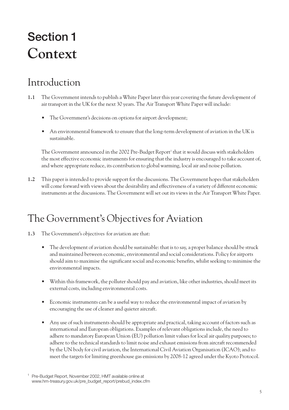## **Section 1 Context**

#### Introduction

- **1.1** The Government intends to publish a White Paper later this year covering the future development of air transport in the UK for the next 30 years. The Air Transport White Paper will include:
	- The Government's decisions on options for airport development;
	- An environmental framework to ensure that the long-term development of aviation in the UK is sustainable.

The Government announced in the 2002 Pre-Budget Report<sup>1</sup> that it would discuss with stakeholders the most effective economic instruments for ensuring that the industry is encouraged to take account of, and where appropriate reduce, its contribution to global warming, local air and noise pollution.

**1.2** This paper is intended to provide support for the discussions. The Government hopes that stakeholders will come forward with views about the desirability and effectiveness of a variety of different economic instruments at the discussions. The Government will set out its views in the Air Transport White Paper.

### The Government's Objectives for Aviation

- **1.3** The Government's objectives for aviation are that:
	- The development of aviation should be sustainable: that is to say, a proper balance should be struck and maintained between economic, environmental and social considerations. Policy for airports should aim to maximise the significant social and economic benefits, whilst seeking to minimise the environmental impacts.
	- Within this framework, the polluter should pay and aviation, like other industries, should meet its external costs, including environmental costs.
	- Economic instruments can be a useful way to reduce the environmental impact of aviation by encouraging the use of cleaner and quieter aircraft.
	- Any use of such instruments should be appropriate and practical, taking account of factors such as international and European obligations. Examples of relevant obligations include, the need to adhere to mandatory European Union (EU) pollution limit values for local air quality purposes; to adhere to the technical standards to limit noise and exhaust emissions from aircraft recommended by the UN body for civil aviation, the International Civil Aviation Organisation (ICAO); and to meet the targets for limiting greenhouse gas emissions by 2008-12 agreed under the Kyoto Protocol.

<sup>&</sup>lt;sup>1</sup> Pre-Budget Report, November 2002, HMT available online at www.hm-treasury.gov.uk/pre\_budget\_report/prebud\_index.cfm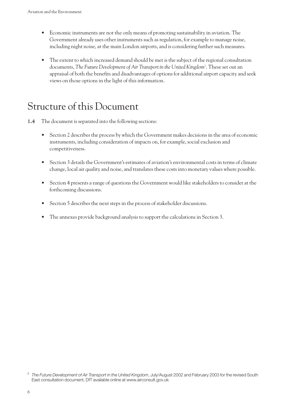- Economic instruments are not the only means of promoting sustainability in aviation. The Government already uses other instruments such as regulation, for example to manage noise, including night noise, at the main London airports, and is considering further such measures.
- The extent to which increased demand should be met is the subject of the regional consultation documents, *The Future Development of Air Transport in the United Kingdom*<sup>2</sup> . These set out an appraisal of both the benefits and disadvantages of options for additional airport capacity and seek views on those options in the light of this information.

#### Structure of this Document

- **1.4** The document is separated into the following sections:
	- Section 2 describes the process by which the Government makes decisions in the area of economic instruments, including consideration of impacts on, for example, social exclusion and competitiveness.
	- Section 3 details the Government's estimates of aviation's environmental costs in terms of climate change, local air quality and noise, and translates these costs into monetary values where possible.
	- Section 4 presents a range of questions the Government would like stakeholders to consider at the forthcoming discussions.
	- Section 5 describes the next steps in the process of stakeholder discussions.
	- The annexes provide background analysis to support the calculations in Section 3.

<sup>&</sup>lt;sup>2</sup> The Future Development of Air Transport in the United Kingdom, July/August 2002 and February 2003 for the revised South East consultation document, DfT available online at www.airconsult.gov.uk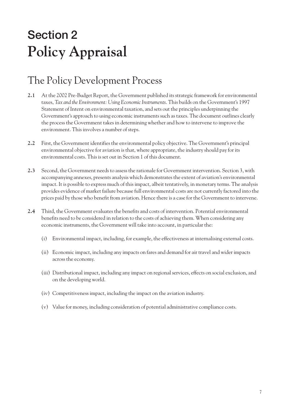# **Section 2 Policy Appraisal**

### The Policy Development Process

- **2.1** At the 2002 Pre-Budget Report, the Government published its strategic framework for environmental taxes, *Tax and the Environment: Using Economic Instruments*. This builds on the Government's 1997 Statement of Intent on environmental taxation, and sets out the principles underpinning the Government's approach to using economic instruments such as taxes. The document outlines clearly the process the Government takes in determining whether and how to intervene to improve the environment. This involves a number of steps.
- **2.2** First, the Government identifies the environmental policy objective. The Government's principal environmental objective for aviation is that, where appropriate, the industry should pay for its environmental costs. This is set out in Section 1 of this document.
- **2.3** Second, the Government needs to assess the rationale for Government intervention. Section 3, with accompanying annexes, presents analysis which demonstrates the extent of aviation's environmental impact. It is possible to express much of this impact, albeit tentatively, in monetary terms. The analysis provides evidence of market failure because full environmental costs are not currently factored into the prices paid by those who benefit from aviation. Hence there is a case for the Government to intervene.
- **2.4** Third, the Government evaluates the benefits and costs of intervention. Potential environmental benefits need to be considered in relation to the costs of achieving them. When considering any economic instruments, the Government will take into account, in particular the:
	- (i) Environmental impact, including, for example, the effectiveness at internalising external costs.
	- (ii) Economic impact, including any impacts on fares and demand for air travel and wider impacts across the economy.
	- (iii) Distributional impact, including any impact on regional services, effects on social exclusion, and on the developing world.
	- (iv) Competitiveness impact, including the impact on the aviation industry.
	- (v) Value for money, including consideration of potential administrative compliance costs.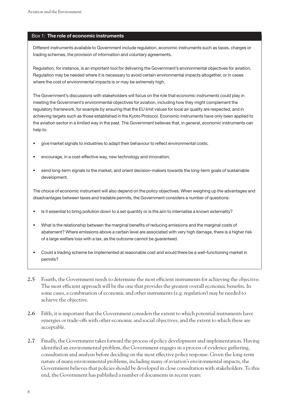#### Box 1: **The role of economic instruments**

Different instruments available to Government include regulation, economic instruments such as taxes, charges or trading schemes, the provision of information and voluntary agreements.

Regulation, for instance, is an important tool for delivering the Government's environmental objectives for aviation. Regulation may be needed where it is necessary to avoid certain environmental impacts altogether, or in cases where the cost of environmental impacts is or may be extremely high.

The Government's discussions with stakeholders will focus on the role that *economic instruments* could play in meeting the Government's environmental objectives for aviation, including how they might complement the regulatory framework, for example by ensuring that the EU limit values for local air quality are respected, and in achieving targets such as those established in the Kyoto Protocol. Economic instruments have only been applied to the aviation sector in a limited way in the past. The Government believes that, in general, economic instruments can help to:

- give market signals to industries to adapt their behaviour to reflect environmental costs;
- encourage, in a cost-effective way, new technology and innovation;
- send long-term signals to the market, and orient decision-makers towards the long-term goals of sustainable development.

The choice of economic instrument will also depend on the policy objectives. When weighing up the advantages and disadvantages between taxes and tradable permits, the Government considers a number of questions:

- Is it essential to bring pollution down to a set quantity or is the aim to internalise a known externality?
- What is the relationship between the marginal benefits of reducing emissions and the marginal costs of abatement? Where emissions above a certain level are associated with very high damage, there is a higher risk of a large welfare loss with a tax, as the outcome cannot be guaranteed.
- Could a trading scheme be implemented at reasonable cost and would there be a well-functioning market in permits?
- **2.5** Fourth, the Government needs to determine the most efficient instruments for achieving the objective. The most efficient approach will be the one that provides the greatest overall economic benefits. In some cases, a combination of economic and other instruments (e.g. regulation) may be needed to achieve the objective.
- **2.6** Fifth, it is important that the Government considers the extent to which potential instruments have synergies or trade-offs with other economic and social objectives, and the extent to which these are acceptable.
- **2.7** Finally, the Government takes forward the process of policy development and implementation. Having identified an environmental problem, the Government engages in a process of evidence gathering, consultation and analysis before deciding on the most effective policy response. Given the long-term nature of many environmental problems, including many of aviation's environmental impacts, the Government believes that policies should be developed in close consultation with stakeholders. To this end, the Government has published a number of documents in recent years: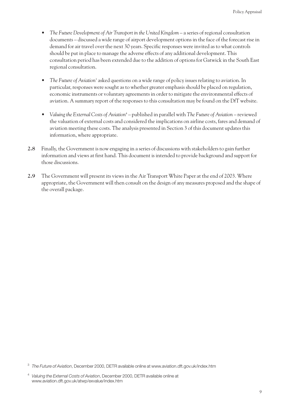- *The Future Development of Air Transport in the United Kingdom* a series of regional consultation documents – discussed a wide range of airport development options in the face of the forecast rise in demand for air travel over the next 30 years. Specific responses were invited as to what controls should be put in place to manage the adverse effects of any additional development. This consultation period has been extended due to the addition of options for Gatwick in the South East regional consultation.
- *The Future of Aviation*<sup>3</sup> asked questions on a wide range of policy issues relating to aviation. In particular, responses were sought as to whether greater emphasis should be placed on regulation, economic instruments or voluntary agreements in order to mitigate the environmental effects of aviation. A summary report of the responses to this consultation may be found on the DfT website.
- *Valuing the External Costs of Aviation*<sup>4</sup> published in parallel with *The Future of Aviation* reviewed the valuation of external costs and considered the implications on airline costs, fares and demand of aviation meeting these costs. The analysis presented in Section 3 of this document updates this information, where appropriate.
- **2.8** Finally, the Government is now engaging in a series of discussions with stakeholders to gain further information and views at first hand. This document is intended to provide background and support for those discussions.
- **2.9** The Government will present its views in the Air Transport White Paper at the end of 2003. Where appropriate, the Government will then consult on the design of any measures proposed and the shape of the overall package.

<sup>3</sup> *The Future of Aviation*, December 2000, DETR available online at www.aviation.dft.gov.uk/index.htm

<sup>4</sup> *Valuing the External Costs of Aviation*, December 2000, DETR available online at www.aviation.dft.gov.uk/atwp/exvalue/index.htm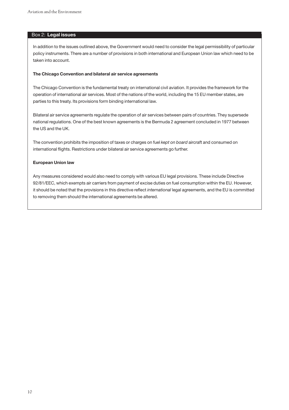#### Box 2: **Legal issues**

In addition to the issues outlined above, the Government would need to consider the legal permissibility of particular policy instruments. There are a number of provisions in both international and European Union law which need to be taken into account.

#### **The Chicago Convention and bilateral air service agreements**

The Chicago Convention is the fundamental treaty on international civil aviation. It provides the framework for the operation of international air services. Most of the nations of the world, including the 15 EU member states, are parties to this treaty. Its provisions form binding international law.

Bilateral air service agreements regulate the operation of air services between pairs of countries. They supersede national regulations. One of the best known agreements is the Bermuda 2 agreement concluded in 1977 between the US and the UK.

The convention prohibits the imposition of taxes or charges on fuel *kept on board* aircraft and consumed on international flights. Restrictions under bilateral air service agreements go further.

#### **European Union law**

Any measures considered would also need to comply with various EU legal provisions. These include Directive 92/81/EEC, which exempts air carriers from payment of excise duties on fuel consumption within the EU. However, it should be noted that the provisions in this directive reflect *international* legal agreements, and the EU is committed to removing them should the international agreements be altered.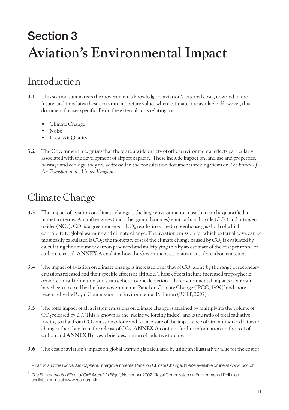## **Section 3 Aviation's Environmental Impact**

#### Introduction

- **3.1** This section summarises the Government's knowledge of aviation's external costs, now and in the future, and translates these costs into monetary values where estimates are available. However, this document focuses specifically on the external costs relating to:
	- Climate Change
	- Noise
	- Local Air Quality
- **3.2** The Government recognises that there are a wide variety of other environmental effects particularly associated with the development of airport capacity. These include impact on land use and properties, heritage and ecology; they are addressed in the consultation documents seeking views on *The Future of Air Transport in the United Kingdom*.

### Climate Change

- **3.3** The impact of aviation on climate change is the large environmental cost that can be quantified in monetary terms. Aircraft engines (and other ground sources) emit carbon dioxide  $(CO<sub>2</sub>)$  and nitrogen oxides (NO<sub>x</sub>). CO<sub>2</sub> is a greenhouse gas; NO<sub>x</sub> results in ozone (a greenhouse gas) both of which contribute to global warming and climate change. The aviation emission for which external costs can be most easily calculated is  $CO_2$ ; the monetary cost of the climate change caused by  $CO_2$  is evaluated by calculating the amount of carbon produced and multiplying this by an estimate of the cost per tonne of carbon released. **ANNEX A** explains how the Government estimates a cost for carbon emissions.
- **3.4** The impact of aviation on climate change is increased over that of  $CO<sub>2</sub>$  alone by the range of secondary emissions released and their specific effects at altitude. These effects include increased tropospheric ozone, contrail formation and stratospheric ozone depletion. The environmental impacts of aircraft have been assessed by the Intergovernmental Panel on Climate Change (IPCC, 1999)<sup>5</sup> and more recently by the Royal Commission on Environmental Pollution (RCEP, 2002)<sup>6</sup>.
- **3.5** The total impact of all aviation emissions on climate change is attained by multiplying the volume of  $CO<sub>2</sub>$  released by 2.7. This is known as the 'radiative forcing index', and is the ratio of total radiative forcing to that from  $CO<sub>2</sub>$  emissions alone and is a measure of the importance of aircraft induced climate change other than from the release of  $CO<sub>2</sub>$ . **ANNEX A** contains further information on the cost of carbon and **ANNEX B** gives a brief description of radiative forcing.
- **3.6** The cost of aviation's impact on global warming is calculated by using an illustrative value for the cost of

<sup>5</sup> *Aviation and the Global Atmosphere*, Intergovernmental Panel on Climate Change, (1999) available online at www.ipcc.ch

<sup>6</sup> *The Environmental Effect of Civil Aircraft in Flight*, November 2002, Royal Commission on Environmental Pollution available online at www.rcep.org.uk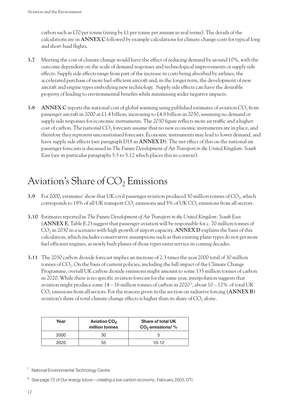carbon such as £70 per tonne (rising by £1 per tonne per annum in real terms). The details of the calculations are in **ANNEX C** followed by example calculations for climate change costs for typical long and short-haul flights.

- **3.7** Meeting the cost of climate change would have the effect of reducing demand by around 10%, with the outcome dependent on the scale of demand responses and technological improvements or supply side effects. Supply side effects range from part of the increase in costs being absorbed by airlines, the accelerated purchase of more fuel-efficient aircraft and, in the longer term, the development of new aircraft and engine types embodying new technology. Supply side effects can have the desirable property of leading to environmental benefits while minimising wider negative impacts.
- **3.8 ANNEX C** reports the national cost of global warming using published estimates of aviation CO<sub>2</sub> from passenger aircraft in 2000 at £1.4 billion, increasing to £4.8 billion in 2030, assuming no demand or supply side responses for economic instruments. The 2030 figure reflects more air traffic and a higher cost of carbon. The national  $CO<sub>2</sub>$  forecasts assume that no new economic instruments are in place, and therefore they represent unconstrained forecasts. Economic instruments may lead to lower demand, and have supply side effects (see paragraph D18 in **ANNEX D**). The net effect of this on the national air passenger forecasts is discussed in *The Future Development of Air Transport in the United Kingdom: South East*(see in particular paragraphs 5.5 to 5.12 which places this in context).

### Aviation's Share of  $CO<sub>2</sub>$  Emissions

- **3.9** For 2000, estimates<sup>7</sup> show that UK civil passenger aviation produced 30 million tonnes of CO<sub>2</sub>, which corresponds to 18% of all UK transport  $CO_2$  emissions and 5% of UK  $CO_2$  emissions from all sectors.
- **3.10** Estimates reported in *The Future Development of Air Transport in the United Kingdom: South East* (**ANNEX E**, Table E.2) suggest that passenger aviation will be responsible for c. 70 million tonnes of  $CO<sub>2</sub>$  in 2030 in a scenario with high growth of airport capacity. **ANNEX D** explains the basis of this calculation, which includes conservative assumptions such as that existing plane types do not get more fuel efficient engines, as newly built planes of those types enter service in coming decades.
- **3.11** The 2030 carbon dioxide forecast implies an increase of 2.3 times the year 2000 total of 30 million tonnes of  $CO<sub>2</sub>$ . On the basis of current policies, including the full impact of the Climate Change Programme, overall UK carbon dioxide emissions might amount to some 135 million tonnes of carbon in 2020. While there is no specific aviation forecast for the same year, interpolation suggests that aviation might produce some 14 – 16 million tonnes of carbon in 2020 8 , about 10 – 12% of total UK CO<sub>2</sub> emissions from all sectors. For the reasons given in the section on radiative forcing (ANNEX B) aviation's share of total climate change effects is higher than its share of  $CO<sub>2</sub>$  alone.

| Year | <b>Aviation CO<sub>2</sub></b><br>million tonnes | <b>Share of total UK</b><br>$CO2$ emissions/% |
|------|--------------------------------------------------|-----------------------------------------------|
| 2000 | 30                                               |                                               |
| 2020 | 55                                               | $10-12$                                       |

<sup>7</sup> National Environmental Technology Centre

<sup>8</sup> See page 72 of *Our energy future – creating a low carbon economy*, February 2003, DTI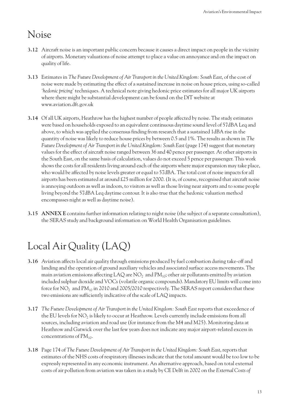#### Noise

- **3.12** Aircraft noise is an important public concern because it causes a direct impact on people in the vicinity of airports. Monetary valuations of noise attempt to place a value on annoyance and on the impact on quality of life.
- **3.13** Estimates in *The Future Development of Air Transport in the United Kingdom: South East*, of the cost of noise were made by estimating the effect of a sustained increase in noise on house prices, using so-called *'hedonic pricing'* techniques. A technical note giving hedonic price estimates for all major UK airports where there might be substantial development can be found on the DfT website at www.aviation.dft.gov.uk
- **3.14** Of all UK airports, Heathrow has the highest number of people affected by noise. The study estimates were based on households exposed to an equivalent continuous daytime sound level of 57dBA Leq and above, to which was applied the consensus finding from research that a sustained 1dBA rise in the quantity of noise was likely to reduce house prices by between 0.5 and 1%. The results as shown in *The Future Development of Air Transport in the United Kingdom: South East*(page 174) suggest that monetary values for the effect of aircraft noise ranged between 36 and 40 pence per passenger. At other airports in the South East, on the same basis of calculation, values do not exceed 5 pence per passenger. This work shows the costs for all residents living around each of the airports where major expansion may take place, who would be affected by noise levels greater or equal to 57dBA. The total cost of noise impacts for all airports has been estimated at around £25 million for 2000. (It is, of course, recognised that aircraft noise is annoying outdoors as well as indoors, to visitors as well as those living near airports and to some people living beyond the 57dBA Leq daytime contour. It is also true that the hedonic valuation method encompasses night as well as daytime noise).
- **3.15 ANNEX E** contains further information relating to night noise (the subject of a separate consultation), the SERAS study and background information on World Health Organisation guidelines.

## Local Air Quality (LAQ)

- **3.16** Aviation affects local air quality through emissions produced by fuel combustion during take-off and landing and the operation of ground auxiliary vehicles and associated surface access movements. The main aviation emissions affecting LAQ are  $NO<sub>2</sub>$  and  $PM<sub>10</sub>$ ; other air pollutants emitted by aviation included sulphur dioxide and VOCs (volatile organic compounds). Mandatory EU limits will come into force for  $NO_2$  and  $PM_{10}$  in 2010 and 2005/2010 respectively. The SERAS report considers that these two emissions are sufficiently indicative of the scale of LAQ impacts.
- **3.17** *The Future Development of Air Transport in the United Kingdom: South East* reports that exceedence of the EU levels for  $NO<sub>2</sub>$  is likely to occur at Heathrow. Levels currently include emissions from all sources, including aviation and road use (for instance from the M4 and M25). Monitoring data at Heathrow and Gatwick over the last few years does not indicate any major airport-related excess in concentrations of  $PM_{10}$ .
- **3.18** Page 174 of *The Future Development of Air Transport in the United Kingdom: South East*, reports that estimates of the NHS costs of respiratory illnesses indicate that the total amount would be too low to be expressly represented in any economic instrument. An alternative approach, based on total external costs of air pollution from aviation was taken in a study by CE Delft in 2002 on the *External Costs of*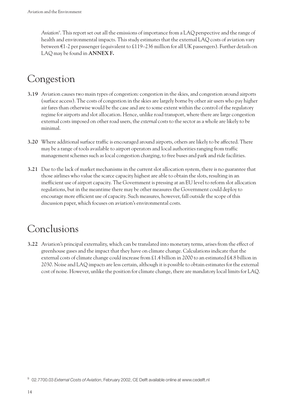*Aviation*<sup>9</sup> . This report set out all the emissions of importance from a LAQ perspective and the range of health and environmental impacts. This study estimates that the external LAQ costs of aviation vary between €1-2 per passenger (equivalent to £119–236 million for all UK passengers). Further details on LAQ may be found in **ANNEX F.**

#### Congestion

- **3.19** Aviation causes two main types of congestion: congestion in the skies, and congestion around airports (surface access). The costs of congestion in the skies are largely borne by other air users who pay higher air fares than otherwise would be the case and are to some extent within the control of the regulatory regime for airports and slot allocation. Hence, unlike road transport, where there are large congestion external costs imposed on other road users, the *external* costs to the sector as a whole are likely to be minimal.
- **3.20** Where additional surface traffic is encouraged around airports, others are likely to be affected. There may be a range of tools available to airport operators and local authorities ranging from traffic management schemes such as local congestion charging, to free buses and park and ride facilities.
- **3.21** Due to the lack of market mechanisms in the current slot allocation system, there is no guarantee that those airlines who value the scarce capacity highest are able to obtain the slots, resulting in an inefficient use of airport capacity. The Government is pressing at an EU level to reform slot allocation regulations, but in the meantime there may be other measures the Government could deploy to encourage more efficient use of capacity. Such measures, however, fall outside the scope of this discussion paper, which focuses on aviation's environmental costs.

#### Conclusions

**3.22** Aviation's principal externality, which can be translated into monetary terms, arises from the effect of greenhouse gases and the impact that they have on climate change. Calculations indicate that the external costs of climate change could increase from £1.4 billion in 2000 to an estimated £4.8 billion in 2030. Noise and LAQ impacts are less certain, although it is possible to obtain estimates for the external cost of noise. However, unlike the position for climate change, there are mandatory local limits for LAQ.

<sup>9</sup> 02.7700.03 *External Costs of Aviation*, February 2002, CE Delft available online at www.cedelft.nl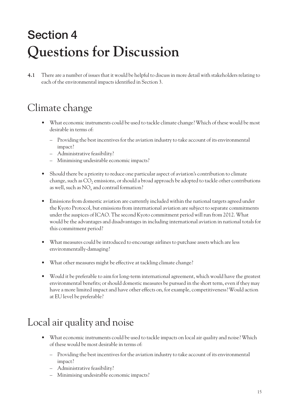# **Section 4 Questions for Discussion**

**4.1** There are a number of issues that it would be helpful to discuss in more detail with stakeholders relating to each of the environmental impacts identified in Section 3.

### Climate change

- What economic instruments could be used to tackle climate change? Which of these would be most desirable in terms of:
	- Providing the best incentives for the aviation industry to take account of its environmental impact?
	- Administrative feasibility?
	- Minimising undesirable economic impacts?
- Should there be a priority to reduce one particular aspect of aviation's contribution to climate change, such as  $CO<sub>2</sub>$  emissions, or should a broad approach be adopted to tackle other contributions as well, such as  $NO<sub>x</sub>$  and contrail formation?
- Emissions from domestic aviation are currently included within the national targets agreed under the Kyoto Protocol, but emissions from international aviation are subject to separate commitments under the auspices of ICAO. The second Kyoto commitment period will run from 2012. What would be the advantages and disadvantages in including international aviation in national totals for this commitment period?
- What measures could be introduced to encourage airlines to purchase assets which are less environmentally-damaging?
- What other measures might be effective at tackling climate change?
- Would it be preferable to aim for long-term international agreement, which would have the greatest environmental benefits; or should domestic measures be pursued in the short term, even if they may have a more limited impact and have other effects on, for example, competitiveness? Would action at EU level be preferable?

### Local air quality and noise

- What economic instruments could be used to tackle impacts on local air quality and noise? Which of these would be most desirable in terms of:
	- Providing the best incentives for the aviation industry to take account of its environmental impact?
	- Administrative feasibility?
	- Minimising undesirable economic impacts?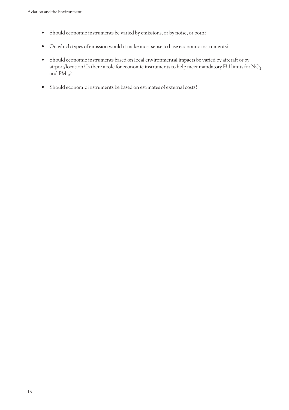- Should economic instruments be varied by emissions, or by noise, or both?
- On which types of emission would it make most sense to base economic instruments?
- Should economic instruments based on local environmental impacts be varied by aircraft or by airport/location? Is there a role for economic instruments to help meet mandatory EU limits for  $NO<sub>2</sub>$ and  $PM_{10}$ ?
- Should economic instruments be based on estimates of external costs?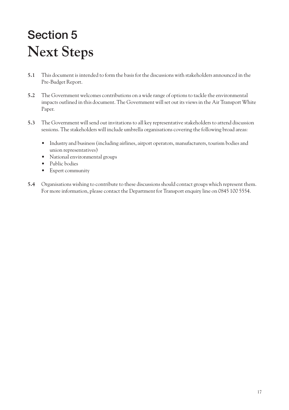# **Section 5 Next Steps**

- **5.1** This document is intended to form the basis for the discussions with stakeholders announced in the Pre-Budget Report.
- **5.2** The Government welcomes contributions on a wide range of options to tackle the environmental impacts outlined in this document. The Government will set out its views in the Air Transport White Paper.
- **5.3** The Government will send out invitations to all key representative stakeholders to attend discussion sessions. The stakeholders will include umbrella organisations covering the following broad areas:
	- Industry and business (including airlines, airport operators, manufacturers, tourism bodies and union representatives)
	- National environmental groups
	- Public bodies
	- Expert community
- **5.4** Organisations wishing to contribute to these discussions should contact groups which represent them. For more information, please contact the Department for Transport enquiry line on 0845 100 5554.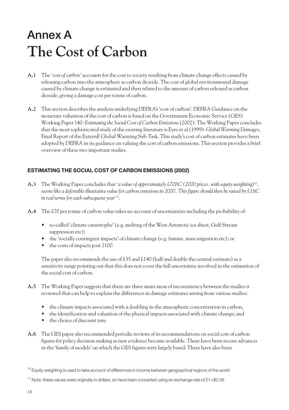# **Annex A The Cost of Carbon**

- **A.1** The *'cost of carbon'* accounts for the cost to society resulting from climate change effects caused by releasing carbon into the atmosphere as carbon dioxide. The cost of global environmental damage caused by climate change is estimated and then related to the amount of carbon released as carbon dioxide, giving a damage cost per tonne of carbon.
- **A.2** This section describes the analysis underlying DEFRA's 'cost of carbon'. DEFRA Guidance on the monetary valuation of the cost of carbon is based on the Government Economic Service (GES) Working Paper 140: *Estimating the Social Cost of Carbon Emissions*(2002). The Working Paper concludes that the most sophisticated study of the existing literature is Eyre et al (1999): *Global Warming Damages*, Final Report of the ExternE Global Warming Sub-Task. This study's cost of carbon estimates have been adopted by DEFRA in its guidance on valuing the cost of carbon emissions. This section provides a brief overview of these two important studies.

#### **ESTIMATING THE SOCIAL COST OF CARBON EMISSIONS (2002)**

- **A.3** The Working Paper concludes that *'a value of approximately £70/tC (2000 prices, with equity weighting)*10*, seems like a defensible illustrative value for carbon emissions in 2000. This figure should then be raised by £1/tC in real terms for each subsequent year'*11.
- **A.4** The £70 per tonne of carbon value takes no account of uncertainties including the probability of:
	- so-called 'climate catastrophe' (e.g. melting of the West Antarctic ice sheet, Gulf Stream suppression etc);
	- the 'socially contingent impacts' of climate change (e.g. famine, mass migration etc); or
	- the costs of impacts post 2100.

The paper also recommends the use of £35 and £140 (half and double the central estimate) as a sensitivity range pointing out that this does not cover the full uncertainty involved in the estimation of the social cost of carbon.

- **A.5** The Working Paper suggests that there are three main areas of inconsistency between the studies it reviewed that can help to explain the differences in damage estimates arising from various studies:
	- the climate impacts associated with a doubling in the atmospheric concentration in carbon,
	- the identification and valuation of the physical impacts associated with climate change; and
	- the choice of discount rate.
- **A.6** The GES paper also recommended periodic reviews of its recommendations on social cost of carbon figures for policy decision-making as new evidence become available. There have been recent advances in the 'family of models' on which the GES figures were largely based. There have also been

<sup>&</sup>lt;sup>10</sup> Equity weighting is used to take account of differences in income between geographical regions of the world

<sup>&</sup>lt;sup>11</sup> Note, these values were originally in dollars, so have been converted using an exchange rate of £1=\$0.56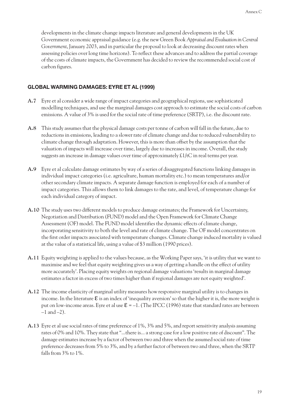developments in the climate change impacts literature and general developments in the UK Government economic appraisal guidance (e.g. the new Green Book *Appraisal and Evaluation in Central Government*, January 2003, and in particular the proposal to look at decreasing discount rates when assessing policies over long time horizons). To reflect these advances and to address the partial coverage of the costs of climate impacts, the Government has decided to review the recommended social cost of carbon figures.

#### **GLOBAL WARMING DAMAGES: EYRE ET AL (1999)**

- **A.7** Eyre et al consider a wide range of impact categories and geographical regions, use sophisticated modelling techniques, and use the marginal damages cost approach to estimate the social costs of carbon emissions. A value of 3% is used for the social rate of time preference (SRTP), i.e. the discount rate.
- **A.8** This study assumes that the physical damage costs per tonne of carbon will fall in the future, due to reductions in emissions, leading to a slower rate of climate change and due to reduced vulnerability to climate change through adaptation. However, this is more than offset by the assumption that the valuation of impacts will increase over time, largely due to increases in income. Overall, the study suggests an increase in damage values over time of approximately  $\pounds 1/\pounds C$  in real terms per year.
- **A.9** Eyre et al calculate damage estimates by way of a series of disaggregated functions linking damages in individual impact categories (i.e. agriculture, human mortality etc.) to mean temperatures and/or other secondary climate impacts. A separate damage function is employed for each of a number of impact categories. This allows them to link damages to the rate, and level, of temperature change for each individual category of impact.
- **A.10** The study uses two different models to produce damage estimates; the Framework for Uncertainty, Negotiation and Distribution (FUND) model and the Open Framework for Climate Change Assessment (OF) model. The FUND model identifies the dynamic effects of climate change, incorporating sensitivity to both the level and rate of climate change. The OF model concentrates on the first order impacts associated with temperature changes. Climate change induced mortality is valued at the value of a statistical life, using a value of \$3 million (1990 prices).
- **A.11** Equity weighting is applied to the values because, as the Working Paper says, 'it is utility that we want to maximise and we feel that equity weighting gives us a way of getting a handle on the effect of utility more accurately'. Placing equity weights on regional damage valuations 'results in marginal damage estimates a factor in excess of two times higher than if regional damages are not equity weighted'.
- **A.12** The income elasticity of marginal utility measures how responsive marginal utility is to changes in income. In the literature  $\epsilon$  is an index of 'inequality aversion' so that the higher it is, the more weight is put on low-income areas. Eyre et al use  $\mathcal{E} = -1$ . (The IPCC (1996) state that standard rates are between  $-1$  and  $-2$ ).
- **A.13** Eyre et al use social rates of time preference of 1%, 3% and 5%, and report sensitivity analysis assuming rates of 0% and 10%. They state that "...there is... a strong case for a low positive rate of discount". The damage estimates increase by a factor of between two and three when the assumed social rate of time preference decreases from 5% to 3%, and by a further factor of between two and three, when the SRTP falls from 3% to 1%.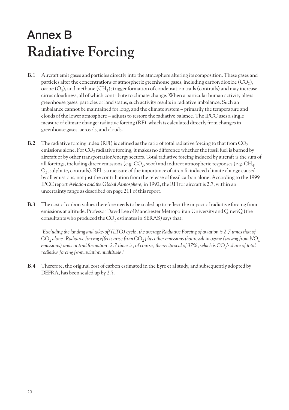## **Annex B Radiative Forcing**

- **B.1** Aircraft emit gases and particles directly into the atmosphere altering its composition. These gases and particles alter the concentrations of atmospheric greenhouse gases, including carbon dioxide  $(CO_2)$ , ozone  $(O_3)$ , and methane  $(CH_4)$ ; trigger formation of condensation trails (contrails) and may increase cirrus cloudiness, all of which contribute to climate change. When a particular human activity alters greenhouse gases, particles or land status, such activity results in radiative imbalance. Such an imbalance cannot be maintained for long, and the climate system – primarily the temperature and clouds of the lower atmosphere – adjusts to restore the radiative balance. The IPCC uses a single measure of climate change: radiative forcing (RF), which is calculated directly from changes in greenhouse gases, aerosols, and clouds.
- **B.2** The radiative forcing index (RFI) is defined as the ratio of total radiative forcing to that from  $CO<sub>2</sub>$ emissions alone. For  $CO<sub>2</sub>$  radiative forcing, it makes no difference whether the fossil fuel is burned by aircraft or by other transportation/energy sectors. Total radiative forcing induced by aircraft is the sum of all forcings, including direct emissions (e.g.  $CO_2$ , soot) and indirect atmospheric responses (e.g.  $CH_4$ ,  $O_3$ , sulphate, contrails). RFI is a measure of the importance of aircraft-induced climate change caused by all emissions, not just the contribution from the release of fossil carbon alone. According to the 1999 IPCC report *Aviation and the Global Atmosphere*, in 1992, the RFI for aircraft is 2.7, within an uncertainty range as described on page 211 of this report.
- **B.3** The cost of carbon values therefore needs to be scaled up to reflect the impact of radiative forcing from emissions at altitude. Professor David Lee of Manchester Metropolitan University and QinetiQ (the consultants who produced the  $CO<sub>2</sub>$  estimates in SERAS) says that:

*'Excluding the landing and take-off (LTO) cycle, the average Radiative Forcing of aviation is 2.7 times that of CO2 alone. Radiative forcing effects arise from CO2 plus other emissions that result in ozone (arising from NOx emissions) and contrail formation. 2.7 times is, of course, the reciprocal of 37%, which is CO<sub>2</sub>'s <i>share of total radiative forcing from aviation at altitude.'*

**B.4** Therefore, the original cost of carbon estimated in the Eyre et al study, and subsequently adopted by DEFRA, has been scaled up by 2.7.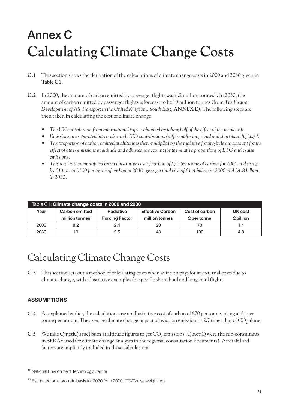# **Annex C Calculating Climate Change Costs**

- **C.1** This section shows the derivation of the calculations of climate change costs in 2000 and 2030 given in **Table C1.**
- **C.2** In 2000, the amount of carbon emitted by passenger flights was 8.2 million tonnes<sup>12</sup>. In 2030, the amount of carbon emitted by passenger flights is forecast to be 19 million tonnes (from *The Future Development of Air Transport in the United Kingdom: South East*, **ANNEX E**). The following steps are then taken in calculating the cost of climate change.
	- *The UK contribution from international trips is obtained by taking half of the effect of the whole trip.*
	- *Emissions are separated into cruise and LTO contributions (different for long-haul and short-haul flights)13.*
	- *The proportion of carbon emitted at altitude is then multiplied by the radiative forcing index to account for the effect of other emissions at altitude and adjusted to account for the relative proportions of LTO and cruise emissions.*
	- *This total is then multiplied by an illustrative cost of carbon of £70 per tonne of carbon for 2000 and rising by £1 p.a. to £100 per tonne of carbon in 2030; giving a total cost of £1.4 billion in 2000 and £4.8 billion in 2030.*

| Table C1: Climate change costs in 2000 and 2030 |                                                                                                   |                       |                |             |           |  |  |
|-------------------------------------------------|---------------------------------------------------------------------------------------------------|-----------------------|----------------|-------------|-----------|--|--|
| Year                                            | <b>Carbon emitted</b><br><b>Effective Carbon</b><br>Cost of carbon<br><b>Radiative</b><br>UK cost |                       |                |             |           |  |  |
|                                                 | million tonnes                                                                                    | <b>Forcing Factor</b> | million tonnes | £ per tonne | £ billion |  |  |
| 2000                                            | 8.2                                                                                               | 2.4                   | 20             | 70          | 1.4       |  |  |
| 2030                                            | 19                                                                                                | 2.5                   | 48             | 100         | 4.8       |  |  |

### Calculating Climate Change Costs

**C.3** This section sets out a method of calculating costs when aviation pays for its external costs due to climate change, with illustrative examples for specific short-haul and long-haul flights.

#### **ASSUMPTIONS**

- **C.4** As explained earlier, the calculations use an illustrative cost of carbon of £70 per tonne, rising at £1 per tonne per annum. The average climate change impact of aviation emissions is 2.7 times that of  $CO_2$  alone.
- **C.5** We take QinetiQ's fuel burn at altitude figures to get  $CO<sub>2</sub>$  emissions (QinetiQ were the sub-consultants in SERAS used for climate change analyses in the regional consultation documents). Aircraft load factors are implicitly included in these calculations.

<sup>&</sup>lt;sup>12</sup> National Environment Technology Centre

<sup>&</sup>lt;sup>13</sup> Estimated on a pro-rata basis for 2030 from 2000 LTO/Cruise weightings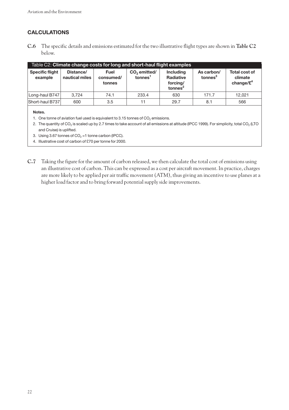#### **CALCULATIONS**

**C.6** The specific details and emissions estimated for the two illustrative flight types are shown in **Table C2** below.

| Table C2: Climate change costs for long and short-haul flight examples |                                        |                                    |                                                 |                                                                         |                                   |                                                             |  |  |
|------------------------------------------------------------------------|----------------------------------------|------------------------------------|-------------------------------------------------|-------------------------------------------------------------------------|-----------------------------------|-------------------------------------------------------------|--|--|
| <b>Specific flight</b><br>example                                      | Distance/<br>nautical miles            | <b>Fuel</b><br>consumed/<br>tonnes | CO <sub>2</sub> emitted/<br>tonnes <sup>1</sup> | <b>Including</b><br><b>Radiative</b><br>forcing/<br>tonnes <sup>2</sup> | As carbon/<br>tonnes <sup>3</sup> | <b>Total cost of</b><br>climate<br>change/ $\mathfrak{L}^4$ |  |  |
| Long-haul B747                                                         | 3.724                                  | 74.1                               | 233.4                                           | 630                                                                     | 171.7                             | 12.021                                                      |  |  |
| Short-haul B737                                                        | 600<br>3.5<br>566<br>29.7<br>8.1<br>11 |                                    |                                                 |                                                                         |                                   |                                                             |  |  |

**Notes.**

- 1. One tonne of aviation fuel used is equivalent to 3.15 tonnes of  $CO<sub>2</sub>$  emissions.
- 2. The quantity of  $CO_2$  is scaled up by 2.7 times to take account of all emissions at altitude (IPCC 1999). For simplicity, total  $CO_2$  (LTO and Cruise) is uplifted.
- 3. Using 3.67 tonnes of  $CO<sub>2</sub> = 1$  tonne carbon (IPCC).
- 4. Illustrative cost of carbon of £70 per tonne for 2000.
- **C.7** Taking the figure for the amount of carbon released, we then calculate the total cost of emissions using an illustrative cost of carbon. This can be expressed as a cost per aircraft movement. In practice, charges are more likely to be applied per air traffic movement (ATM), thus giving an incentive to use planes at a higher load factor and to bring forward potential supply side improvements.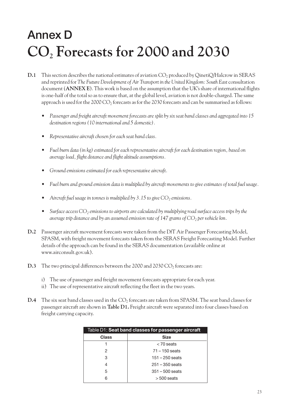# **Annex D CO2 Forecasts for 2000 and 2030**

- **D.1** This section describes the national estimates of aviation CO<sub>2</sub> produced by QinetiQ/Halcrow in SERAS and reprinted for *The Future Development of Air Transport in the United Kingdom: South East* consultation document (**ANNEX E**). This work is based on the assumption that the UK's share of international flights is one-half of the total so as to ensure that, at the global level, aviation is not double-charged. The same approach is used for the 2000 CO<sub>2</sub> forecasts as for the 2030 forecasts and can be summarised as follows:
	- *• Passenger and freight aircraft movement forecasts are split by six seat band classes and aggregated into 15 destination regions (10 international and 5 domestic).*
	- *• Representative aircraft chosen for each seat band class.*
	- *• Fuel burn data (in kg) estimated for each representative aircraft for each destination region, based on average load, flight distance and flight altitude assumptions.*
	- *Ground emissions estimated for each representative aircraft.*
	- *• Fuel burn and ground emission data is multiplied by aircraft movements to give estimates of total fuel usage.*
	- *Aircraft fuel usage in tonnes is multiplied by 3.15 to give*  $CO<sub>2</sub>$  *emissions.*
	- *Surface access CO<sub>2</sub> emissions to airports are calculated by multiplying road surface access trips by the average trip distance and by an assumed emission rate of 147 grams of CO<sub>2</sub> per vehicle km.*
- **D.2** Passenger aircraft movement forecasts were taken from the DfT Air Passenger Forecasting Model, SPASM, with freight movement forecasts taken from the SERAS Freight Forecasting Model. Further details of the approach can be found in the SERAS documentation (available online at www.airconsult.gov.uk).
- **D.3** The two principal differences between the 2000 and 2030  $CO<sub>2</sub>$  forecasts are:
	- i) The use of passenger and freight movement forecasts appropriate for each year.
	- ii) The use of representative aircraft reflecting the fleet in the two years.
- **D.4** The six seat band classes used in the CO<sub>2</sub> forecasts are taken from SPASM. The seat band classes for passenger aircraft are shown in **Table D1.** Freight aircraft were separated into four classes based on freight carrying capacity.

| Table D1: Seat band classes for passenger aircraft |                   |  |  |  |
|----------------------------------------------------|-------------------|--|--|--|
| <b>Class</b><br><b>Size</b>                        |                   |  |  |  |
|                                                    | $<$ 70 seats      |  |  |  |
| 2                                                  | $71 - 150$ seats  |  |  |  |
| З                                                  | $151 - 250$ seats |  |  |  |
|                                                    | $251 - 350$ seats |  |  |  |
| 5                                                  | $351 - 500$ seats |  |  |  |
|                                                    | $>500$ seats      |  |  |  |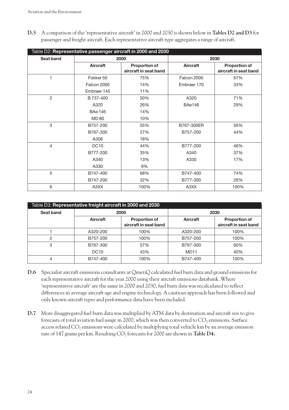**D.5** A comparison of the 'representative aircraft' in 2000 and 2030 is shown below in **Tables D2 and D3** for passenger and freight aircraft. Each representative aircraft type aggregates a range of aircraft.

| Table D2: Representative passenger aircraft in 2000 and 2030 |                 |                                               |                 |                                               |  |  |
|--------------------------------------------------------------|-----------------|-----------------------------------------------|-----------------|-----------------------------------------------|--|--|
| Seat band                                                    |                 | 2000                                          |                 | 2030                                          |  |  |
|                                                              | <b>Aircraft</b> | <b>Proportion of</b><br>aircraft in seat band | <b>Aircraft</b> | <b>Proportion of</b><br>aircraft in seat band |  |  |
| 1                                                            | Fokker 50       | 75%                                           | Falcon 2000     | 67%                                           |  |  |
|                                                              | Falcon 2000     | 14%                                           | Embraer 170     | 33%                                           |  |  |
|                                                              | Embraer 145     | 11%                                           |                 |                                               |  |  |
| $\mathbf{2}$                                                 | B 737-400       | 50%                                           | A320            | 71%                                           |  |  |
|                                                              | A320            | 26%                                           | <b>BAe146</b>   | 29%                                           |  |  |
|                                                              | <b>BAe 146</b>  | 14%                                           |                 |                                               |  |  |
|                                                              | <b>MD 80</b>    | 10%                                           |                 |                                               |  |  |
| 3                                                            | B757-200        | 55%                                           | B767-300ER      | 56%                                           |  |  |
|                                                              | B767-300        | 27%                                           | B757-200        | 44%                                           |  |  |
|                                                              | A306            | 18%                                           |                 |                                               |  |  |
| 4                                                            | <b>DC10</b>     | 44%                                           | B777-200        | 46%                                           |  |  |
|                                                              | B777-200        | 35%                                           | A340            | 37%                                           |  |  |
|                                                              | A340            | 13%                                           | A330            | 17%                                           |  |  |
|                                                              | A330            | 9%                                            |                 |                                               |  |  |
| 5                                                            | B747-400        | 68%                                           | B747-400        | 74%                                           |  |  |
|                                                              | B747-200        | 32%                                           | B777-300        | 26%                                           |  |  |
| 6                                                            | A3XX            | 100%                                          | A3XX            | 100%                                          |  |  |

| Table D3: Representative freight aircraft in 2000 and 2030 |                 |                                               |                  |                                               |  |  |
|------------------------------------------------------------|-----------------|-----------------------------------------------|------------------|-----------------------------------------------|--|--|
| Seat band                                                  | 2000            |                                               | 2030             |                                               |  |  |
|                                                            | <b>Aircraft</b> | <b>Proportion of</b><br>aircraft in seat band | <b>Aircraft</b>  | <b>Proportion of</b><br>aircraft in seat band |  |  |
|                                                            | A320-200        | 100%                                          | A320-200         | 100%                                          |  |  |
| 2                                                          | B757-200        | 100%                                          | B757-200         | 100%                                          |  |  |
| 3                                                          | B767-300        | 57%                                           | B767-300         | 60%                                           |  |  |
|                                                            | <b>DC10</b>     | 43%                                           | MD <sub>11</sub> | 40%                                           |  |  |
| 4                                                          | B747-400        | 100%                                          | B747-400         | 100%                                          |  |  |

- **D.6** Specialist aircraft emissions consultants at QinetiQ calculated fuel burn data and ground emissions for each representative aircraft for the year 2000 using their aircraft emissions databank. Where 'representative aircraft' are the same in 2000 and 2030, fuel burn data was recalculated to reflect differences in average aircraft age and engine technology. A cautious approach has been followed and only known aircraft types and performance data have been included.
- **D.7** More disaggregated fuel burn data was multiplied by ATM data by destination and aircraft size to give forecasts of total aviation fuel usage in 2000, which was then converted to  $CO_2$  emissions. Surface access related  $CO<sub>2</sub>$  emissions were calculated by multiplying total vehicle km by an average emission rate of 147 grams per km. Resulting CO<sub>2</sub> forecasts for 2000 are shown in **Table D4.**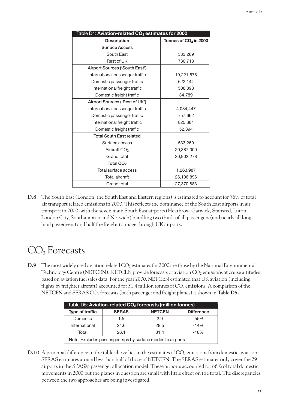| Table D4: Aviation-related CO <sub>2</sub> estimates for 2000 |                         |  |  |  |  |
|---------------------------------------------------------------|-------------------------|--|--|--|--|
| <b>Description</b>                                            | Tonnes of $CO2$ in 2000 |  |  |  |  |
| <b>Surface Access</b>                                         |                         |  |  |  |  |
| South East                                                    | 533,269                 |  |  |  |  |
| Rest of UK                                                    | 730,718                 |  |  |  |  |
| Airport Sources ('South East')                                |                         |  |  |  |  |
| International passenger traffic                               | 19,221,678              |  |  |  |  |
| Domestic passenger traffic                                    | 622,144                 |  |  |  |  |
| International freight traffic                                 | 508,398                 |  |  |  |  |
| Domestic freight traffic                                      | 34,789                  |  |  |  |  |
| Airport Sources ('Rest of UK')                                |                         |  |  |  |  |
| International passenger traffic                               | 4,084,447               |  |  |  |  |
| Domestic passenger traffic                                    | 757,662                 |  |  |  |  |
| International freight traffic                                 | 825,384                 |  |  |  |  |
| Domestic freight traffic                                      | 52,394                  |  |  |  |  |
| <b>Total South East related</b>                               |                         |  |  |  |  |
| Surface access                                                | 533,269                 |  |  |  |  |
| Aircraft CO <sub>2</sub>                                      | 20,387,009              |  |  |  |  |
| Grand total                                                   | 20,902,278              |  |  |  |  |
| Total CO <sub>2</sub>                                         |                         |  |  |  |  |
| Total surface access                                          | 1,263,987               |  |  |  |  |
| <b>Total aircraft</b>                                         | 26,106,896              |  |  |  |  |
| Grand total                                                   | 27,370,883              |  |  |  |  |

**D.8** The South East (London, the South East and Eastern regions) is estimated to account for 76% of total air transport related emissions in 2000. This reflects the dominance of the South East airports in air transport in 2000, with the seven main South East airports (Heathrow, Gatwick, Stansted, Luton, London City, Southampton and Norwich) handling two thirds of all passengers (and nearly all longhaul passengers) and half the freight tonnage through UK airports.

### $CO<sub>2</sub>$  Forecasts

**D.9** The most widely used aviation related CO<sub>2</sub> estimates for 2000 are those by the National Environmental Technology Centre (NETCEN). NETCEN provide forecasts of aviation  $CO_2$  emissions at cruise altitudes based on aviation fuel sales data. For the year 2000, NETCEN estimated that UK aviation (including flights by freighter aircraft) accounted for 31.4 million tonnes of  $CO<sub>2</sub>$  emissions. A comparison of the NETCEN and SERAS CO<sub>2</sub> forecasts (both passenger and freight planes) is shown in **Table D5.** 

| Table D5: Aviation-related CO <sub>2</sub> forecasts (million tonnes) |      |      |        |  |  |  |
|-----------------------------------------------------------------------|------|------|--------|--|--|--|
| <b>NETCEN</b><br>Type of traffic<br><b>SERAS</b><br><b>Difference</b> |      |      |        |  |  |  |
| Domestic                                                              | 1.5  | 2.9  | -55%   |  |  |  |
| International                                                         | 24.6 | 28.5 | $-14%$ |  |  |  |
| Total<br>31.4<br>26.1<br>$-18%$                                       |      |      |        |  |  |  |
| Note: Excludes passenger trips by surface modes to airports           |      |      |        |  |  |  |

**D.10** A principal difference in the table above lies in the estimates of  $CO<sub>2</sub>$  emissions from domestic aviation; SERAS estimates around less than half of those of NETCEN. The SERAS estimates only cover the 29 airports in the SPASM passenger allocation model. These airports accounted for 86% of total domestic movements in 2000 but the planes in question are small with little effect on the total. The discrepancies between the two approaches are being investigated.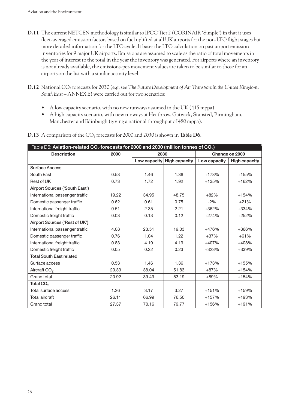- **D.11** The current NETCEN methodology is similar to IPCC Tier 2 (CORINAIR 'Simple') in that it uses fleet-averaged emission factors based on fuel uplifted at all UK airports for the non-LTO flight stages but more detailed information for the LTO cycle. It bases the LTO calculation on past airport emission inventories for 9 major UK airports. Emissions are assumed to scale as the ratio of total movements in the year of interest to the total in the year the inventory was generated. For airports where an inventory is not already available, the emissions-per-movement values are taken to be similar to those for an airports on the list with a similar activity level.
- **D.12** National CO2 forecasts for 2030 (e.g. see *The Future Development of Air Transport in the United Kingdom: South East* – ANNEX E) were carried out for two scenarios:
	- A low capacity scenario, with no new runways assumed in the UK (415 mppa).
	- A high capacity scenario, with new runways at Heathrow, Gatwick, Stansted, Birmingham, Manchester and Edinburgh (giving a national throughput of 480 mppa).

| Table D6: Aviation-related CO $_2$ forecasts for 2000 and 2030 (million tonnes of CO $_2\!)$ |       |       |                            |              |                      |
|----------------------------------------------------------------------------------------------|-------|-------|----------------------------|--------------|----------------------|
| <b>Description</b>                                                                           | 2000  |       | 2030                       |              | Change on 2000       |
|                                                                                              |       |       | Low capacity High capacity | Low capacity | <b>High capacity</b> |
| <b>Surface Access</b>                                                                        |       |       |                            |              |                      |
| South East                                                                                   | 0.53  | 1.46  | 1.36                       | $+173%$      | +155%                |
| Rest of UK                                                                                   | 0.73  | 1.72  | 1.92                       | +135%        | $+162%$              |
| Airport Sources ('South East')                                                               |       |       |                            |              |                      |
| International passenger traffic                                                              | 19.22 | 34.95 | 48.75                      | $+82%$       | $+154%$              |
| Domestic passenger traffic                                                                   | 0.62  | 0.61  | 0.75                       | $-2%$        | $+21%$               |
| International freight traffic                                                                | 0.51  | 2.35  | 2.21                       | +362%        | $+334%$              |
| Domestic freight traffic                                                                     | 0.03  | 0.13  | 0.12                       | $+274%$      | $+252%$              |
| Airport Sources ('Rest of UK')                                                               |       |       |                            |              |                      |
| International passenger traffic                                                              | 4.08  | 23.51 | 19.03                      | +476%        | $+366%$              |
| Domestic passenger traffic                                                                   | 0.76  | 1.04  | 1.22                       | $+37%$       | $+61%$               |
| International freight traffic                                                                | 0.83  | 4.19  | 4.19                       | +407%        | +408%                |
| Domestic freight traffic                                                                     | 0.05  | 0.22  | 0.23                       | +323%        | +339%                |
| <b>Total South East related</b>                                                              |       |       |                            |              |                      |
| Surface access                                                                               | 0.53  | 1.46  | 1.36                       | $+173%$      | +155%                |
| Aircraft CO <sub>2</sub>                                                                     | 20.39 | 38.04 | 51.83                      | $+87%$       | $+154%$              |
| Grand total                                                                                  | 20.92 | 39.49 | 53.19                      | $+89%$       | $+154%$              |
| Total CO <sub>2</sub>                                                                        |       |       |                            |              |                      |
| Total surface access                                                                         | 1.26  | 3.17  | 3.27                       | $+151%$      | +159%                |
| Total aircraft                                                                               | 26.11 | 66.99 | 76.50                      | +157%        | +193%                |
| Grand total                                                                                  | 27.37 | 70.16 | 79.77                      | +156%        | $+191%$              |

**D.13** A comparison of the CO<sub>2</sub> forecasts for 2000 and 2030 is shown in **Table D6.**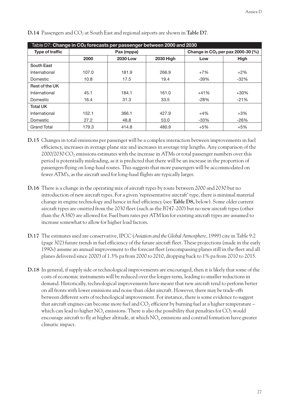| Table D7: Change in $CO_2$ forecasts per passenger between 2000 and 2030 |                                             |            |       |                                     |             |  |
|--------------------------------------------------------------------------|---------------------------------------------|------------|-------|-------------------------------------|-------------|--|
| <b>Type of traffic</b>                                                   |                                             | Pax (mppa) |       | Change in $CO2$ per pax 2000-30 (%) |             |  |
|                                                                          | <b>2030 High</b><br>2000<br><b>2030 Low</b> |            |       | Low                                 | <b>High</b> |  |
| South East                                                               |                                             |            |       |                                     |             |  |
| International                                                            | 107.0                                       | 181.9      | 266.9 | $+7%$                               | $+2\%$      |  |
| Domestic                                                                 | 10.8                                        | 17.5       | 19.4  | $-39%$                              | $-32%$      |  |
| Rest of the UK                                                           |                                             |            |       |                                     |             |  |
| International                                                            | 45.1                                        | 184.1      | 161.0 | $+41%$                              | $+30%$      |  |
| Domestic                                                                 | 16.4                                        | 31.3       | 33.5  | $-28%$                              | $-21%$      |  |
| <b>Total UK</b>                                                          |                                             |            |       |                                     |             |  |
| International                                                            | 152.1                                       | 366.1      | 427.9 | $+4%$                               | $+3%$       |  |
| Domestic                                                                 | 27.2                                        | 48.8       | 53.0  | $-33%$                              | $-26%$      |  |
| <b>Grand Total</b>                                                       | 179.3                                       | 414.8      | 480.9 | $+5%$                               | $+5%$       |  |

**D.14** Passengers and CO<sub>2</sub> at South East and regional airports are shown in **Table D7**.

- **D.15** Changes in total emissions per passenger will be a complex interaction between improvements in fuel efficiency, increases in average plane size and increases in average trip lengths. Any comparison of the  $2000/2030 \text{ CO}$ <sub>2</sub> emissions estimates with the increase in ATMs or total passenger numbers over this period is potentially misleading, as it is predicted that there will be an increase in the proportion of passengers flying on long-haul routes. This suggests that more passengers will be accommodated on fewer ATM's, as the aircraft used for long-haul flights are typically larger.
- **D.16** There is a change in the operating mix of aircraft types by route between 2000 and 2030 but no introduction of new aircraft types. For a given 'representative aircraft' type, there is minimal material change in engine technology and hence in fuel efficiency (see **Table D8,** below). Some older current aircraft types are omitted from the 2030 fleet (such as the B747-200) but no new aircraft types (other than the A380) are allowed for. Fuel burn rates per ATM km for existing aircraft types are assumed to increase somewhat to allow for higher load factors.
- **D.17** The estimates used are conservative, IPCC (*Aviation and the Global Atmosphere*, 1999) cite in Table 9.2 (page 302) future trends in fuel efficiency of the future aircraft fleet. These projections (made in the early 1990s) assume an annual improvement to the forecast fleet (encompassing planes still in the fleet and all planes delivered since 2000) of 1.3% pa from 2000 to 2010, dropping back to 1% pa from 2010 to 2015.
- **D.18** In general, if supply side or technological improvements are encouraged, then it is likely that some of the costs of economic instruments will be reduced over the longer-term, leading to smaller reductions in demand. Historically, technological improvements have meant that new aircraft tend to perform better on all fronts with lower emissions and noise than older aircraft. However, there may be trade-offs between different sorts of technological improvement. For instance, there is some evidence to suggest that aircraft engines can become more fuel and  $CO<sub>2</sub>$  efficient by burning fuel at a higher temperature – which can lead to higher  $NO<sub>x</sub>$  emissions. There is also the possibility that penalties for  $CO<sub>2</sub>$  would encourage aircraft to fly at higher altitude, at which NO<sub>x</sub> emissions and contrail formation have greater climatic impact.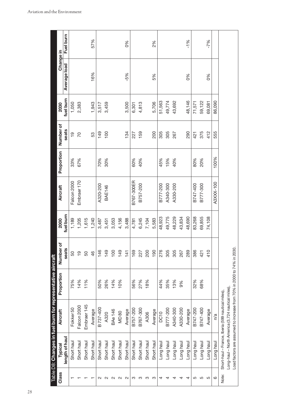| Class | Typical        | Table D8: Changes in fuel burn for representative aircraft<br><b>Aircraft</b> | Proportion | Number of     | 2000           | Aircraft      | Proportion | Number of      | 2030      | Change in    |           |
|-------|----------------|-------------------------------------------------------------------------------|------------|---------------|----------------|---------------|------------|----------------|-----------|--------------|-----------|
|       | length of haul |                                                                               |            | seats         | fuel burn      |               |            | seats          | fuel burn | Average load | Fuel burn |
|       | Short hau      | Fokker 50                                                                     | 75%        | 50            | 1,189          | Falcon 2000   | 33%        | $\overline{6}$ | 1,050     |              |           |
|       | Short haul     | Falcon 2000                                                                   | 14%        | $\frac{1}{2}$ |                | Embraer 170   | 67%        | $\overline{C}$ | 2,383     |              |           |
|       | Short haul     | Embraer <sub>145</sub>                                                        | 11%        | 50            | 1,205<br>1,615 |               |            |                |           |              |           |
|       | Short haul     | Average                                                                       |            | $\frac{6}{5}$ | 1,240          |               |            | 53             | 1,943     | 16%          | 57%       |
|       | Short haul     | B737-400                                                                      | 50%        | 146           | 3,487          | A320-200      | 70%        | 149            | 3,517     |              |           |
|       | Short haul     | A320                                                                          | 26%        | 149           | 3,451          | <b>BAE146</b> | 30%        | 100            | 3,459     |              |           |
|       | Short haul     | <b>BAe 146</b>                                                                | 14%        | 100           | 3,053          |               |            |                |           |              |           |
|       | Short haul     | <b>MD 80</b>                                                                  | 10%        | 149           | 4,156          |               |            |                |           |              |           |
|       | Short haul     | Average                                                                       |            | 141           | 3,488          |               |            | 134            | 3,500     | $-5%$        | 0%        |
|       | Short haul     | B757-200                                                                      | 56%        | 169           | 4,781          | B767-300ER    | 60%        | 227            | 6,301     |              |           |
|       | Short haul     | B767-300                                                                      | 27%        | 227           | 6,245          | B757-200      | 40%        | 159            | 4,813     |              |           |
|       | Short haul     | A306                                                                          | 18%        | 200           | 7,104          |               |            |                |           |              |           |
|       | Short haul     | Average                                                                       |            | 190           | 5,583          |               |            | 200            | 5,706     | 5%           | 2%        |
|       | Long haul      | <b>DC10</b>                                                                   | 44%        | 276           | 48,923         | B777-200      | 45%        | 305            | 51,563    |              |           |
|       | Long haul      | B777-200                                                                      | 35%        | 305           | 49,775         | A340-300      | 15%<br>40% | 305            | 49,774    |              |           |
|       | Long haul      | A340-300                                                                      | 13%        | 305           | 48,229         | A330-200      |            | 267            | 43,692    |              |           |
|       | Long haul      | A330-200                                                                      | 9%         | 267           | 43,834         |               |            |                |           |              |           |
|       | Long haul      | Average                                                                       |            | 289           | 48,690         |               |            | 290            | 48,146    | 0%           | $-1%$     |
|       | Long haul      | B747-200                                                                      | 32%        | 386           | 83,268         | B747-400      | 80%        | 421            | 71,571    |              |           |
|       | Long haul      | B747-400                                                                      | 68%        | 421           | 69,855         | B777-300      | 20%        | 375            | 59,122    |              |           |
|       | Long haul      | Average                                                                       |            | 410           | 74,108         |               |            | 412            | 69,081    | 0%           | $-7%$     |
|       | Long haul      | n/a                                                                           |            |               |                | A3XXX-100     | 100%       | 555            | 86,090    |              |           |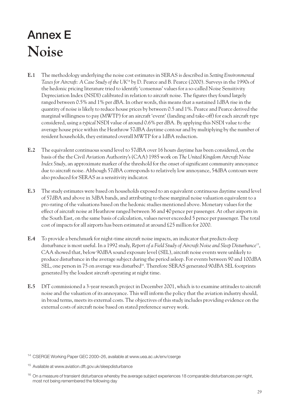# **Annex E Noise**

- **E.1** The methodology underlying the noise cost estimates in SERAS is described in *Setting Environmental Taxes for Aircraft: A Case Study of the UK*<sup>14</sup> by D. Pearce and B. Pearce (2000). Surveys in the 1990s of the hedonic pricing literature tried to identify 'consensus' values for a so-called Noise Sensitivity Depreciation Index (NSDI) calibrated in relation to aircraft noise. The figures they found largely ranged between 0.5% and 1% per dBA. In other words, this means that a sustained 1dBA rise in the quantity of noise is likely to reduce house prices by between 0.5 and 1%. Pearce and Pearce derived the marginal willingness to pay (MWTP) for an aircraft 'event' (landing and take-off) for each aircraft type considered, using a *typical* NSDI value of around 0.6% per dBA. By applying this NSDI value to the average house price within the Heathrow 57dBA daytime contour and by multiplying by the number of resident households, they estimated overall MWTP for a 1dBA reduction.
- **E.2** The equivalent continuous sound level to 57dBA over 16 hours daytime has been considered, on the basis of the the Civil Aviation Authority's (CAA) 1985 work on *The United Kingdom Aircraft Noise Index Study*, an approximate marker of the threshold for the onset of significant community annoyance due to aircraft noise. Although 57dBA corresponds to relatively low annoyance, 54dBA contours were also produced for SERAS as a sensitivity indicator.
- **E.3** The study estimates were based on households exposed to an equivalent continuous daytime sound level of 57dBA and above in 3dBA bands, and attributing to these marginal noise valuation equivalent to a pro-rating of the valuations based on the hedonic studies mentioned above. Monetary values for the effect of aircraft noise at Heathrow ranged between 36 and 40 pence per passenger. At other airports in the South East, on the same basis of calculation, values never exceeded 5 pence per passenger. The total cost of impacts for all airports has been estimated at around £25 million for 2000.
- **E.4** To provide a benchmark for night-time aircraft noise impacts, an indicator that predicts sleep disturbance is most useful. In a 1992 study, *Report of a Field Study of Aircraft Noise and Sleep Disturbance*15, CAA showed that, below 90dBA sound exposure level (SEL), aircraft noise events were unlikely to produce disturbance in the average subject during the period asleep. For events between 90 and 100dBA SEL, one person in 75 on average was disturbed<sup>16</sup>. Therefore SERAS generated 90dBA SEL footprints generated by the loudest aircraft operating at night time.
- **E.5** DfT commissioned a 3-year research project in December 2001, which is to examine attitudes to aircraft noise and the valuation of its annoyance. This will inform the policy that the aviation industry should, in broad terms, meets its external costs. The objectives of this study includes providing evidence on the external costs of aircraft noise based on stated preference survey work.

<sup>14</sup> CSERGE Working Paper GEC 2000–26, available at www.uea.ac.uk/env/cserge

<sup>15</sup> Available at www.aviation.dft.gov.uk/sleepdisturbance

<sup>&</sup>lt;sup>16</sup> On a measure of transient disturbance whereby the average subject experiences 18 comparable disturbances per night, most not being remembered the following day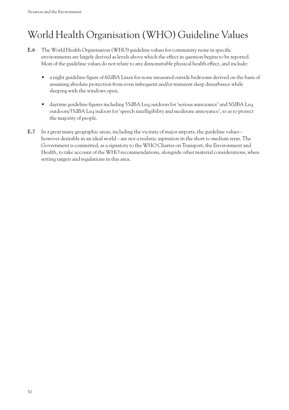## World Health Organisation (WHO) Guideline Values

- **E.6** The World Health Organisation (WHO) guideline values for community noise in specific environments are largely derived as levels above which the effect in question begins to be reported. Most of the guideline values do not relate to any demonstrable physical health effect, and include:
	- a night guideline figure of 60dBA Lmax for noise measured outside bedrooms derived on the basis of assuming absolute protection from even infrequent and/or transient sleep disturbance while sleeping with the windows open.
	- daytime guideline figures including 55dBA Leq outdoors for 'serious annoyance' and 50dBA Leq outdoors/35dBA Leq indoors for 'speech intelligibility and moderate annoyance', so as to protect the majority of people.
- **E.7** In a great many geographic areas, including the vicinity of major airports, the guideline values however desirable in an ideal world – are not a realistic aspiration in the short to medium term. The Government is committed, as a signatory to the WHO Charter on Transport, the Environment and Health, to take account of the WHO recommendations, alongside other material considerations, when setting targets and regulations in this area.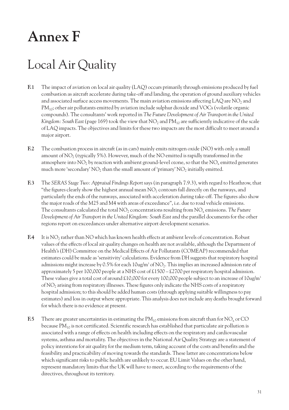# **Annex F**

## Local Air Quality

- **F.1** The impact of aviation on local air quality (LAQ) occurs primarily through emissions produced by fuel combustion as aircraft accelerate during take-off and landing, the operation of ground auxiliary vehicles and associated surface access movements. The main aviation emissions affecting LAQ are NO<sub>2</sub> and  $PM_{10}$ ; other air pollutants emitted by aviation include sulphur dioxide and VOCs (volatile organic compounds). The consultants' work reported in *The Future Development of Air Transport in the United Kingdom: South East* (page 169) took the view that NO<sub>2</sub> and PM<sub>10</sub> are sufficiently indicative of the scale of LAQ impacts. The objectives and limits for these two impacts are the most difficult to meet around a major airport.
- **F.2** The combustion process in aircraft (as in cars) mainly emits nitrogen oxide (NO) with only a small amount of  $NO<sub>2</sub>$  (typically 5%). However, much of the  $NO$  emitted is rapidly transformed in the atmosphere into  $NO<sub>2</sub>$  by reaction with ambient ground-level ozone, so that the  $NO<sub>x</sub>$  emitted generates much more 'secondary'  $NO<sub>2</sub>$  than the small amount of 'primary'  $NO<sub>2</sub>$  initially emitted.
- **F.3** The *SERAS Stage Two: Appraisal Findings Report* says (in paragraph 7.9.3), with regard to Heathrow, that "the figures clearly show the highest annual mean  $NO<sub>2</sub>$  contours fall directly on the runways, and particularly the ends of the runways, associated with acceleration during take-off. The figures also show the major roads of the M25 and M4 with areas of exceedance", i.e. due to road vehicle emissions. The consultants calculated the total NO<sub>2</sub> concentrations resulting from NO<sub>x</sub> emissions. The Future *Development of Air Transport in the United Kingdom: South East* and the parallel documents for the other regions report on exceedances under alternative airport development scenarios.
- **F.4** It is NO<sub>2</sub> rather than NO which has known health effects at ambient levels of concentration. Robust values of the effects of local air quality changes on health are not available, although the Department of Health's (DH) Committee on the Medical Effects of Air Pollutants (COMEAP) recommended that estimates could be made as 'sensitivity' calculations. Evidence from DH suggests that respiratory hospital admissions might increase by 0.5% for each  $10u$ g/m<sup>3</sup> of NO<sub>2</sub>. This implies an increased admission rate of approximately 5 per 100,000 people at a NHS cost of £1500 – £2700 per respiratory hospital admission. These values give a total cost of around £10,000 for every 100,000 people subject to an increase of  $10u\text{g/m}^3$ of NO2 arising from respiratory illnesses. These figures only indicate the NHS costs of a respiratory hospital admission; to this should be added human costs (through applying suitable willingness to pay estimates) and loss in output where appropriate. This analysis does not include any deaths brought forward for which there is no evidence at present.
- **F.5** There are greater uncertainties in estimating the  $PM_{10}$  emissions from aircraft than for  $NO_x$  or CO because  $PM_{10}$  is not certificated. Scientific research has established that particulate air pollution is associated with a range of effects on health including effects on the respiratory and cardiovascular systems, asthma and mortality. The objectives in the National Air Quality Strategy are a statement of policy intentions for air quality for the medium term, taking account of the costs and benefits and the feasibility and practicability of moving towards the standards. These latter are concentrations below which significant risks to public health are unlikely to occur. EU Limit Values on the other hand, represent mandatory limits that the UK will have to meet, according to the requirements of the directives, throughout its territory.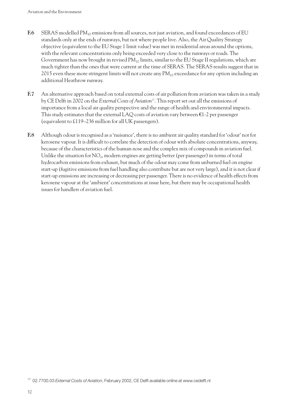- F.6 SERAS modelled PM<sub>10</sub> emissions from all sources, not just aviation, and found exceedances of EU standards only at the ends of runways, but not where people live. Also, the Air Quality Strategy objective (equivalent to the EU Stage 1 limit value) was met in residential areas around the options, with the relevant concentrations only being exceeded very close to the runways or roads. The Government has now brought in revised  $PM_{10}$  limits, similar to the EU Stage II regulations, which are much tighter than the ones that were current at the time of SERAS. The SERAS results suggest that in 2015 even these more stringent limits will not create any  $PM_{10}$  exceedance for any option including an additional Heathrow runway.
- **F.7** An alternative approach based on total external costs of air pollution from aviation was taken in a study by CE Delft in 2002 on the *External Costs of Aviation*17. This report set out all the emissions of importance from a local air quality perspective and the range of health and environmental impacts. This study estimates that the external LAQ costs of aviation vary between  $\epsilon$ 1-2 per passenger (equivalent to £119–236 million for all UK passengers).
- **F.8** Although odour is recognised as a 'nuisance', there is no ambient air quality standard for 'odour' nor for kerosene vapour. It is difficult to correlate the detection of odour with absolute concentrations, anyway, because of the characteristics of the human nose and the complex mix of compounds in aviation fuel. Unlike the situation for NO<sub>y</sub>, modern engines are getting better (per passenger) in terms of total hydrocarbon emissions from exhaust, but much of the odour may come from unburned fuel on engine start-up (fugitive emissions from fuel handling also contribute but are not very large), and it is not clear if start-up emissions are increasing or decreasing per passenger. There is no evidence of health effects from kerosene vapour at the 'ambient' concentrations at issue here, but there may be occupational health issues for handlers of aviation fuel.

<sup>17</sup> 02.7700.03 *External Costs of Aviation*, February 2002, CE Delft available online at www.cedelft.nl